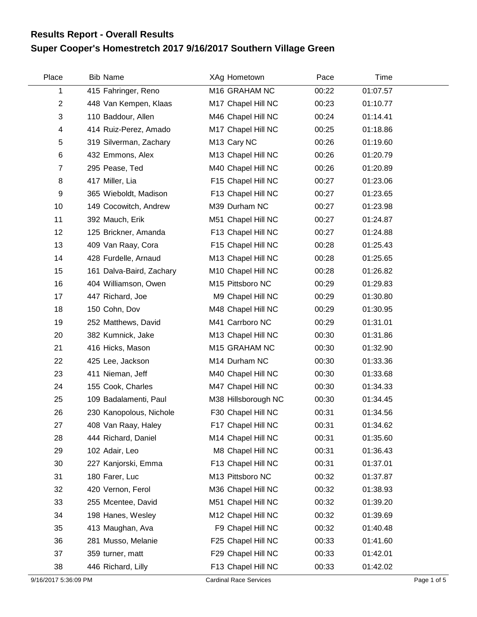## **Super Cooper's Homestretch 2017 9/16/2017 Southern Village Green Results Report - Overall Results**

| Place          | <b>Bib Name</b>          | XAg Hometown        | Pace  | Time     |  |
|----------------|--------------------------|---------------------|-------|----------|--|
| 1              | 415 Fahringer, Reno      | M16 GRAHAM NC       | 00:22 | 01:07.57 |  |
| $\overline{2}$ | 448 Van Kempen, Klaas    | M17 Chapel Hill NC  | 00:23 | 01:10.77 |  |
| 3              | 110 Baddour, Allen       | M46 Chapel Hill NC  | 00:24 | 01:14.41 |  |
| 4              | 414 Ruiz-Perez, Amado    | M17 Chapel Hill NC  | 00:25 | 01:18.86 |  |
| 5              | 319 Silverman, Zachary   | M13 Cary NC         | 00:26 | 01:19.60 |  |
| 6              | 432 Emmons, Alex         | M13 Chapel Hill NC  | 00:26 | 01:20.79 |  |
| $\overline{7}$ | 295 Pease, Ted           | M40 Chapel Hill NC  | 00:26 | 01:20.89 |  |
| 8              | 417 Miller, Lia          | F15 Chapel Hill NC  | 00:27 | 01:23.06 |  |
| 9              | 365 Wieboldt, Madison    | F13 Chapel Hill NC  | 00:27 | 01:23.65 |  |
| 10             | 149 Cocowitch, Andrew    | M39 Durham NC       | 00:27 | 01:23.98 |  |
| 11             | 392 Mauch, Erik          | M51 Chapel Hill NC  | 00:27 | 01:24.87 |  |
| 12             | 125 Brickner, Amanda     | F13 Chapel Hill NC  | 00:27 | 01:24.88 |  |
| 13             | 409 Van Raay, Cora       | F15 Chapel Hill NC  | 00:28 | 01:25.43 |  |
| 14             | 428 Furdelle, Arnaud     | M13 Chapel Hill NC  | 00:28 | 01:25.65 |  |
| 15             | 161 Dalva-Baird, Zachary | M10 Chapel Hill NC  | 00:28 | 01:26.82 |  |
| 16             | 404 Williamson, Owen     | M15 Pittsboro NC    | 00:29 | 01:29.83 |  |
| 17             | 447 Richard, Joe         | M9 Chapel Hill NC   | 00:29 | 01:30.80 |  |
| 18             | 150 Cohn, Dov            | M48 Chapel Hill NC  | 00:29 | 01:30.95 |  |
| 19             | 252 Matthews, David      | M41 Carrboro NC     | 00:29 | 01:31.01 |  |
| 20             | 382 Kumnick, Jake        | M13 Chapel Hill NC  | 00:30 | 01:31.86 |  |
| 21             | 416 Hicks, Mason         | M15 GRAHAM NC       | 00:30 | 01:32.90 |  |
| 22             | 425 Lee, Jackson         | M14 Durham NC       | 00:30 | 01:33.36 |  |
| 23             | 411 Nieman, Jeff         | M40 Chapel Hill NC  | 00:30 | 01:33.68 |  |
| 24             | 155 Cook, Charles        | M47 Chapel Hill NC  | 00:30 | 01:34.33 |  |
| 25             | 109 Badalamenti, Paul    | M38 Hillsborough NC | 00:30 | 01:34.45 |  |
| 26             | 230 Kanopolous, Nichole  | F30 Chapel Hill NC  | 00:31 | 01:34.56 |  |
| 27             | 408 Van Raay, Haley      | F17 Chapel Hill NC  | 00:31 | 01:34.62 |  |
| 28             | 444 Richard, Daniel      | M14 Chapel Hill NC  | 00:31 | 01:35.60 |  |
| 29             | 102 Adair, Leo           | M8 Chapel Hill NC   | 00:31 | 01:36.43 |  |
| 30             | 227 Kanjorski, Emma      | F13 Chapel Hill NC  | 00:31 | 01:37.01 |  |
| 31             | 180 Farer, Luc           | M13 Pittsboro NC    | 00:32 | 01:37.87 |  |
| 32             | 420 Vernon, Ferol        | M36 Chapel Hill NC  | 00:32 | 01:38.93 |  |
| 33             | 255 Mcentee, David       | M51 Chapel Hill NC  | 00:32 | 01:39.20 |  |
| 34             | 198 Hanes, Wesley        | M12 Chapel Hill NC  | 00:32 | 01:39.69 |  |
| 35             | 413 Maughan, Ava         | F9 Chapel Hill NC   | 00:32 | 01:40.48 |  |
| 36             | 281 Musso, Melanie       | F25 Chapel Hill NC  | 00:33 | 01:41.60 |  |
| 37             | 359 turner, matt         | F29 Chapel Hill NC  | 00:33 | 01:42.01 |  |
| 38             | 446 Richard, Lilly       | F13 Chapel Hill NC  | 00:33 | 01:42.02 |  |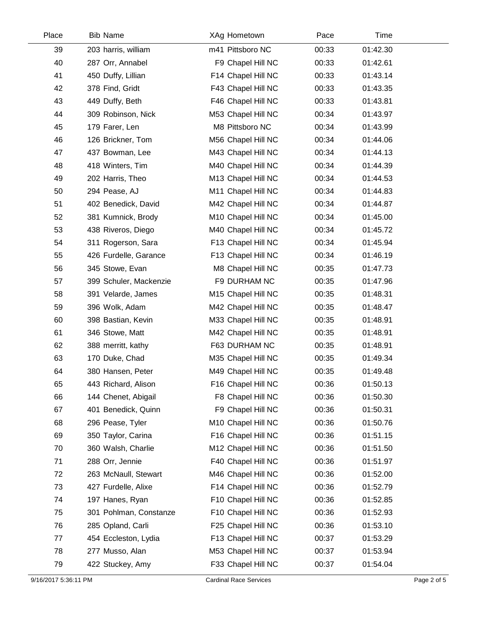| Place | <b>Bib Name</b>        | XAg Hometown       | Pace  | Time     |  |
|-------|------------------------|--------------------|-------|----------|--|
| 39    | 203 harris, william    | m41 Pittsboro NC   | 00:33 | 01:42.30 |  |
| 40    | 287 Orr, Annabel       | F9 Chapel Hill NC  | 00:33 | 01:42.61 |  |
| 41    | 450 Duffy, Lillian     | F14 Chapel Hill NC | 00:33 | 01:43.14 |  |
| 42    | 378 Find, Gridt        | F43 Chapel Hill NC | 00:33 | 01:43.35 |  |
| 43    | 449 Duffy, Beth        | F46 Chapel Hill NC | 00:33 | 01:43.81 |  |
| 44    | 309 Robinson, Nick     | M53 Chapel Hill NC | 00:34 | 01:43.97 |  |
| 45    | 179 Farer, Len         | M8 Pittsboro NC    | 00:34 | 01:43.99 |  |
| 46    | 126 Brickner, Tom      | M56 Chapel Hill NC | 00:34 | 01:44.06 |  |
| 47    | 437 Bowman, Lee        | M43 Chapel Hill NC | 00:34 | 01:44.13 |  |
| 48    | 418 Winters, Tim       | M40 Chapel Hill NC | 00:34 | 01:44.39 |  |
| 49    | 202 Harris, Theo       | M13 Chapel Hill NC | 00:34 | 01:44.53 |  |
| 50    | 294 Pease, AJ          | M11 Chapel Hill NC | 00:34 | 01:44.83 |  |
| 51    | 402 Benedick, David    | M42 Chapel Hill NC | 00:34 | 01:44.87 |  |
| 52    | 381 Kumnick, Brody     | M10 Chapel Hill NC | 00:34 | 01:45.00 |  |
| 53    | 438 Riveros, Diego     | M40 Chapel Hill NC | 00:34 | 01:45.72 |  |
| 54    | 311 Rogerson, Sara     | F13 Chapel Hill NC | 00:34 | 01:45.94 |  |
| 55    | 426 Furdelle, Garance  | F13 Chapel Hill NC | 00:34 | 01:46.19 |  |
| 56    | 345 Stowe, Evan        | M8 Chapel Hill NC  | 00:35 | 01:47.73 |  |
| 57    | 399 Schuler, Mackenzie | F9 DURHAM NC       | 00:35 | 01:47.96 |  |
| 58    | 391 Velarde, James     | M15 Chapel Hill NC | 00:35 | 01:48.31 |  |
| 59    | 396 Wolk, Adam         | M42 Chapel Hill NC | 00:35 | 01:48.47 |  |
| 60    | 398 Bastian, Kevin     | M33 Chapel Hill NC | 00:35 | 01:48.91 |  |
| 61    | 346 Stowe, Matt        | M42 Chapel Hill NC | 00:35 | 01:48.91 |  |
| 62    | 388 merritt, kathy     | F63 DURHAM NC      | 00:35 | 01:48.91 |  |
| 63    | 170 Duke, Chad         | M35 Chapel Hill NC | 00:35 | 01:49.34 |  |
| 64    | 380 Hansen, Peter      | M49 Chapel Hill NC | 00:35 | 01:49.48 |  |
| 65    | 443 Richard, Alison    | F16 Chapel Hill NC | 00:36 | 01:50.13 |  |
| 66    | 144 Chenet, Abigail    | F8 Chapel Hill NC  | 00:36 | 01:50.30 |  |
| 67    | 401 Benedick, Quinn    | F9 Chapel Hill NC  | 00:36 | 01:50.31 |  |
| 68    | 296 Pease, Tyler       | M10 Chapel Hill NC | 00:36 | 01:50.76 |  |
| 69    | 350 Taylor, Carina     | F16 Chapel Hill NC | 00:36 | 01:51.15 |  |
| 70    | 360 Walsh, Charlie     | M12 Chapel Hill NC | 00:36 | 01:51.50 |  |
| 71    | 288 Orr, Jennie        | F40 Chapel Hill NC | 00:36 | 01:51.97 |  |
| 72    | 263 McNaull, Stewart   | M46 Chapel Hill NC | 00:36 | 01:52.00 |  |
| 73    | 427 Furdelle, Alixe    | F14 Chapel Hill NC | 00:36 | 01:52.79 |  |
| 74    | 197 Hanes, Ryan        | F10 Chapel Hill NC | 00:36 | 01:52.85 |  |
| 75    | 301 Pohlman, Constanze | F10 Chapel Hill NC | 00:36 | 01:52.93 |  |
| 76    | 285 Opland, Carli      | F25 Chapel Hill NC | 00:36 | 01:53.10 |  |
| 77    | 454 Eccleston, Lydia   | F13 Chapel Hill NC | 00:37 | 01:53.29 |  |
| 78    | 277 Musso, Alan        | M53 Chapel Hill NC | 00:37 | 01:53.94 |  |
| 79    | 422 Stuckey, Amy       | F33 Chapel Hill NC | 00:37 | 01:54.04 |  |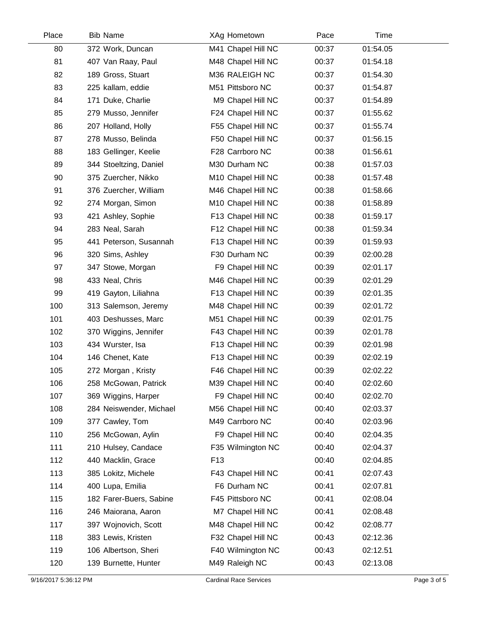| Place | <b>Bib Name</b>         | XAg Hometown       | Pace  | Time     |  |
|-------|-------------------------|--------------------|-------|----------|--|
| 80    | 372 Work, Duncan        | M41 Chapel Hill NC | 00:37 | 01:54.05 |  |
| 81    | 407 Van Raay, Paul      | M48 Chapel Hill NC | 00:37 | 01:54.18 |  |
| 82    | 189 Gross, Stuart       | M36 RALEIGH NC     | 00:37 | 01:54.30 |  |
| 83    | 225 kallam, eddie       | M51 Pittsboro NC   | 00:37 | 01:54.87 |  |
| 84    | 171 Duke, Charlie       | M9 Chapel Hill NC  | 00:37 | 01:54.89 |  |
| 85    | 279 Musso, Jennifer     | F24 Chapel Hill NC | 00:37 | 01:55.62 |  |
| 86    | 207 Holland, Holly      | F55 Chapel Hill NC | 00:37 | 01:55.74 |  |
| 87    | 278 Musso, Belinda      | F50 Chapel Hill NC | 00:37 | 01:56.15 |  |
| 88    | 183 Gellinger, Keelie   | F28 Carrboro NC    | 00:38 | 01:56.61 |  |
| 89    | 344 Stoeltzing, Daniel  | M30 Durham NC      | 00:38 | 01:57.03 |  |
| 90    | 375 Zuercher, Nikko     | M10 Chapel Hill NC | 00:38 | 01:57.48 |  |
| 91    | 376 Zuercher, William   | M46 Chapel Hill NC | 00:38 | 01:58.66 |  |
| 92    | 274 Morgan, Simon       | M10 Chapel Hill NC | 00:38 | 01:58.89 |  |
| 93    | 421 Ashley, Sophie      | F13 Chapel Hill NC | 00:38 | 01:59.17 |  |
| 94    | 283 Neal, Sarah         | F12 Chapel Hill NC | 00:38 | 01:59.34 |  |
| 95    | 441 Peterson, Susannah  | F13 Chapel Hill NC | 00:39 | 01:59.93 |  |
| 96    | 320 Sims, Ashley        | F30 Durham NC      | 00:39 | 02:00.28 |  |
| 97    | 347 Stowe, Morgan       | F9 Chapel Hill NC  | 00:39 | 02:01.17 |  |
| 98    | 433 Neal, Chris         | M46 Chapel Hill NC | 00:39 | 02:01.29 |  |
| 99    | 419 Gayton, Liliahna    | F13 Chapel Hill NC | 00:39 | 02:01.35 |  |
| 100   | 313 Salemson, Jeremy    | M48 Chapel Hill NC | 00:39 | 02:01.72 |  |
| 101   | 403 Deshusses, Marc     | M51 Chapel Hill NC | 00:39 | 02:01.75 |  |
| 102   | 370 Wiggins, Jennifer   | F43 Chapel Hill NC | 00:39 | 02:01.78 |  |
| 103   | 434 Wurster, Isa        | F13 Chapel Hill NC | 00:39 | 02:01.98 |  |
| 104   | 146 Chenet, Kate        | F13 Chapel Hill NC | 00:39 | 02:02.19 |  |
| 105   | 272 Morgan, Kristy      | F46 Chapel Hill NC | 00:39 | 02:02.22 |  |
| 106   | 258 McGowan, Patrick    | M39 Chapel Hill NC | 00:40 | 02:02.60 |  |
| 107   | 369 Wiggins, Harper     | F9 Chapel Hill NC  | 00:40 | 02:02.70 |  |
| 108   | 284 Neiswender, Michael | M56 Chapel Hill NC | 00:40 | 02:03.37 |  |
| 109   | 377 Cawley, Tom         | M49 Carrboro NC    | 00:40 | 02:03.96 |  |
| 110   | 256 McGowan, Aylin      | F9 Chapel Hill NC  | 00:40 | 02:04.35 |  |
| 111   | 210 Hulsey, Candace     | F35 Wilmington NC  | 00:40 | 02:04.37 |  |
| 112   | 440 Macklin, Grace      | F <sub>13</sub>    | 00:40 | 02:04.85 |  |
| 113   | 385 Lokitz, Michele     | F43 Chapel Hill NC | 00:41 | 02:07.43 |  |
| 114   | 400 Lupa, Emilia        | F6 Durham NC       | 00:41 | 02:07.81 |  |
| 115   | 182 Farer-Buers, Sabine | F45 Pittsboro NC   | 00:41 | 02:08.04 |  |
| 116   | 246 Maiorana, Aaron     | M7 Chapel Hill NC  | 00:41 | 02:08.48 |  |
| 117   | 397 Wojnovich, Scott    | M48 Chapel Hill NC | 00:42 | 02:08.77 |  |
| 118   | 383 Lewis, Kristen      | F32 Chapel Hill NC | 00:43 | 02:12.36 |  |
| 119   | 106 Albertson, Sheri    | F40 Wilmington NC  | 00:43 | 02:12.51 |  |
| 120   | 139 Burnette, Hunter    | M49 Raleigh NC     | 00:43 | 02:13.08 |  |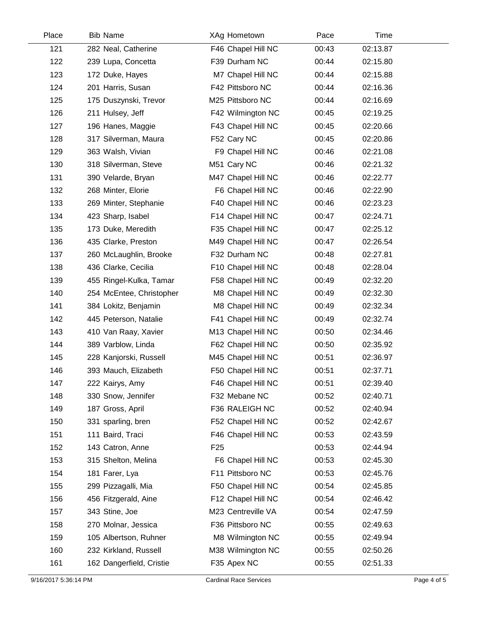| Place | <b>Bib Name</b>          | XAg Hometown       | Pace  | Time     |  |
|-------|--------------------------|--------------------|-------|----------|--|
| 121   | 282 Neal, Catherine      | F46 Chapel Hill NC | 00:43 | 02:13.87 |  |
| 122   | 239 Lupa, Concetta       | F39 Durham NC      | 00:44 | 02:15.80 |  |
| 123   | 172 Duke, Hayes          | M7 Chapel Hill NC  | 00:44 | 02:15.88 |  |
| 124   | 201 Harris, Susan        | F42 Pittsboro NC   | 00:44 | 02:16.36 |  |
| 125   | 175 Duszynski, Trevor    | M25 Pittsboro NC   | 00:44 | 02:16.69 |  |
| 126   | 211 Hulsey, Jeff         | F42 Wilmington NC  | 00:45 | 02:19.25 |  |
| 127   | 196 Hanes, Maggie        | F43 Chapel Hill NC | 00:45 | 02:20.66 |  |
| 128   | 317 Silverman, Maura     | F52 Cary NC        | 00:45 | 02:20.86 |  |
| 129   | 363 Walsh, Vivian        | F9 Chapel Hill NC  | 00:46 | 02:21.08 |  |
| 130   | 318 Silverman, Steve     | M51 Cary NC        | 00:46 | 02:21.32 |  |
| 131   | 390 Velarde, Bryan       | M47 Chapel Hill NC | 00:46 | 02:22.77 |  |
| 132   | 268 Minter, Elorie       | F6 Chapel Hill NC  | 00:46 | 02:22.90 |  |
| 133   | 269 Minter, Stephanie    | F40 Chapel Hill NC | 00:46 | 02:23.23 |  |
| 134   | 423 Sharp, Isabel        | F14 Chapel Hill NC | 00:47 | 02:24.71 |  |
| 135   | 173 Duke, Meredith       | F35 Chapel Hill NC | 00:47 | 02:25.12 |  |
| 136   | 435 Clarke, Preston      | M49 Chapel Hill NC | 00:47 | 02:26.54 |  |
| 137   | 260 McLaughlin, Brooke   | F32 Durham NC      | 00:48 | 02:27.81 |  |
| 138   | 436 Clarke, Cecilia      | F10 Chapel Hill NC | 00:48 | 02:28.04 |  |
| 139   | 455 Ringel-Kulka, Tamar  | F58 Chapel Hill NC | 00:49 | 02:32.20 |  |
| 140   | 254 McEntee, Christopher | M8 Chapel Hill NC  | 00:49 | 02:32.30 |  |
| 141   | 384 Lokitz, Benjamin     | M8 Chapel Hill NC  | 00:49 | 02:32.34 |  |
| 142   | 445 Peterson, Natalie    | F41 Chapel Hill NC | 00:49 | 02:32.74 |  |
| 143   | 410 Van Raay, Xavier     | M13 Chapel Hill NC | 00:50 | 02:34.46 |  |
| 144   | 389 Varblow, Linda       | F62 Chapel Hill NC | 00:50 | 02:35.92 |  |
| 145   | 228 Kanjorski, Russell   | M45 Chapel Hill NC | 00:51 | 02:36.97 |  |
| 146   | 393 Mauch, Elizabeth     | F50 Chapel Hill NC | 00:51 | 02:37.71 |  |
| 147   | 222 Kairys, Amy          | F46 Chapel Hill NC | 00:51 | 02:39.40 |  |
| 148   | 330 Snow, Jennifer       | F32 Mebane NC      | 00:52 | 02:40.71 |  |
| 149   | 187 Gross, April         | F36 RALEIGH NC     | 00:52 | 02:40.94 |  |
| 150   | 331 sparling, bren       | F52 Chapel Hill NC | 00:52 | 02:42.67 |  |
| 151   | 111 Baird, Traci         | F46 Chapel Hill NC | 00:53 | 02:43.59 |  |
| 152   | 143 Catron, Anne         | F <sub>25</sub>    | 00:53 | 02:44.94 |  |
| 153   | 315 Shelton, Melina      | F6 Chapel Hill NC  | 00:53 | 02:45.30 |  |
| 154   | 181 Farer, Lya           | F11 Pittsboro NC   | 00:53 | 02:45.76 |  |
| 155   | 299 Pizzagalli, Mia      | F50 Chapel Hill NC | 00:54 | 02:45.85 |  |
| 156   | 456 Fitzgerald, Aine     | F12 Chapel Hill NC | 00:54 | 02:46.42 |  |
| 157   | 343 Stine, Joe           | M23 Centreville VA | 00:54 | 02:47.59 |  |
| 158   | 270 Molnar, Jessica      | F36 Pittsboro NC   | 00:55 | 02:49.63 |  |
| 159   | 105 Albertson, Ruhner    | M8 Wilmington NC   | 00:55 | 02:49.94 |  |
| 160   | 232 Kirkland, Russell    | M38 Wilmington NC  | 00:55 | 02:50.26 |  |
| 161   | 162 Dangerfield, Cristie | F35 Apex NC        | 00:55 | 02:51.33 |  |